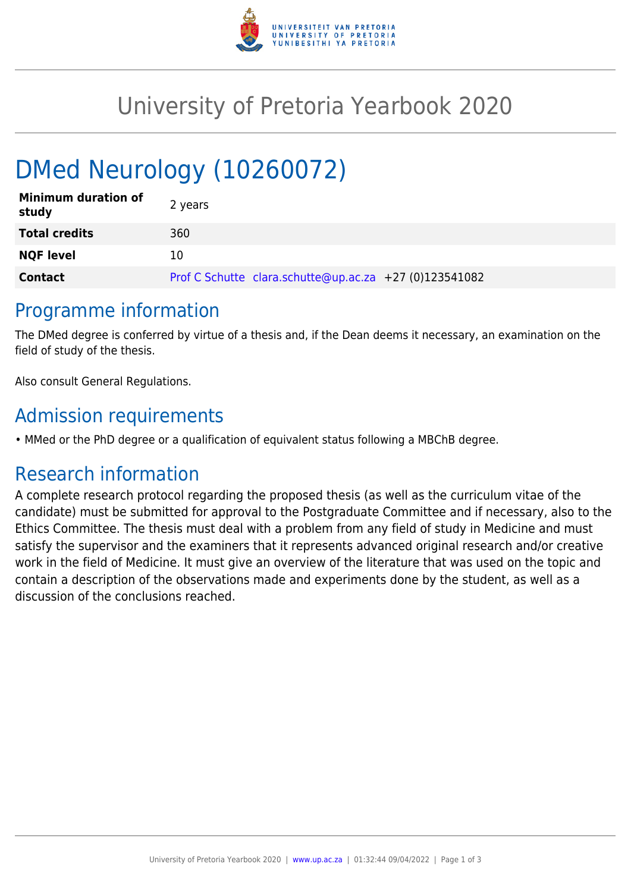

## University of Pretoria Yearbook 2020

# DMed Neurology (10260072)

| <b>Minimum duration of</b><br>study | 2 years                                                |
|-------------------------------------|--------------------------------------------------------|
| <b>Total credits</b>                | 360                                                    |
| <b>NQF level</b>                    | 10                                                     |
| <b>Contact</b>                      | Prof C Schutte clara.schutte@up.ac.za +27 (0)123541082 |

#### Programme information

The DMed degree is conferred by virtue of a thesis and, if the Dean deems it necessary, an examination on the field of study of the thesis.

Also consult General Regulations.

### Admission requirements

• MMed or the PhD degree or a qualification of equivalent status following a MBChB degree.

## Research information

A complete research protocol regarding the proposed thesis (as well as the curriculum vitae of the candidate) must be submitted for approval to the Postgraduate Committee and if necessary, also to the Ethics Committee. The thesis must deal with a problem from any field of study in Medicine and must satisfy the supervisor and the examiners that it represents advanced original research and/or creative work in the field of Medicine. It must give an overview of the literature that was used on the topic and contain a description of the observations made and experiments done by the student, as well as a discussion of the conclusions reached.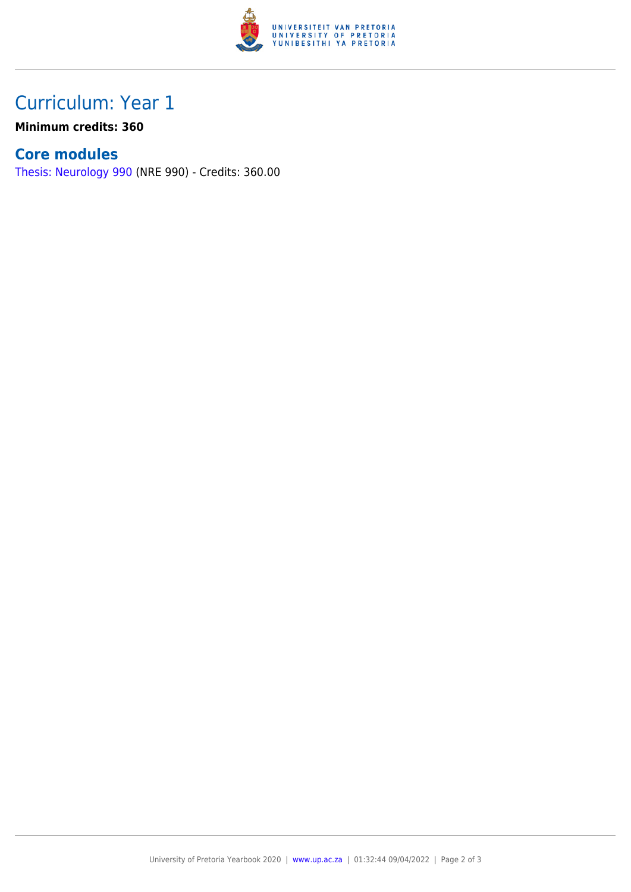

### Curriculum: Year 1

**Minimum credits: 360**

#### **Core modules**

[Thesis: Neurology 990](https://www.up.ac.za/faculty-of-education/yearbooks/2020/modules/view/NRE 990) (NRE 990) - Credits: 360.00